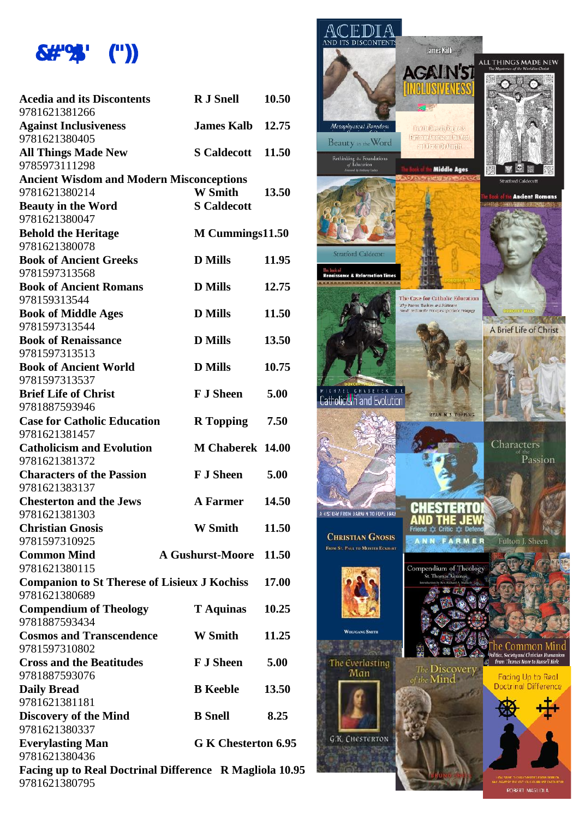

| <b>Acedia and its Discontents</b>                                    | <b>R</b> J Snell        | 10.50 |                   |
|----------------------------------------------------------------------|-------------------------|-------|-------------------|
| 9781621381266                                                        |                         |       |                   |
| <b>Against Inclusiveness</b>                                         | <b>James Kalb</b>       | 12.75 | Metap             |
| 9781621380405                                                        |                         |       | Beau              |
| <b>All Things Made New</b>                                           | <b>S</b> Caldecott      | 11.50 | Rethink           |
| 9785973111298                                                        |                         |       |                   |
| <b>Ancient Wisdom and Modern Misconceptions</b><br>9781621380214     | <b>W</b> Smith          | 13.50 |                   |
| <b>Beauty in the Word</b>                                            | <b>S</b> Caldecott      |       |                   |
| 9781621380047                                                        |                         |       |                   |
| <b>Behold the Heritage</b>                                           | M Cummings11.50         |       |                   |
| 9781621380078                                                        |                         |       |                   |
| <b>Book of Ancient Greeks</b>                                        | <b>D</b> Mills          | 11.95 | Strati            |
| 9781597313568                                                        |                         |       |                   |
| <b>Book of Ancient Romans</b>                                        | <b>D</b> Mills          | 12.75 |                   |
| 978159313544                                                         |                         |       |                   |
| <b>Book of Middle Ages</b>                                           | <b>D</b> Mills          | 11.50 |                   |
| 9781597313544                                                        |                         |       |                   |
| <b>Book of Renaissance</b>                                           | <b>D</b> Mills          | 13.50 |                   |
| 9781597313513                                                        |                         |       |                   |
| <b>Book of Ancient World</b>                                         | <b>D</b> Mills          | 10.75 |                   |
| 9781597313537                                                        |                         |       |                   |
| <b>Brief Life of Christ</b>                                          | <b>F J Sheen</b>        | 5.00  |                   |
| 9781887593946                                                        |                         |       |                   |
| <b>Case for Catholic Education</b>                                   | R Topping 7.50          |       |                   |
| 9781621381457                                                        |                         |       |                   |
| <b>Catholicism and Evolution</b>                                     | M Chaberek 14.00        |       |                   |
| 9781621381372                                                        |                         |       |                   |
| <b>Characters of the Passion</b>                                     | <b>F.I Sheen</b>        | 5.00  |                   |
| 9781621383137                                                        |                         |       |                   |
| <b>Chesterton and the Jews</b>                                       | <b>A</b> Farmer         | 14.50 |                   |
| 9781621381303                                                        |                         |       | A HISTORY FRO     |
| <b>Christian Gnosis</b>                                              | <b>W</b> Smith          | 11.50 | <b>CHRIS</b>      |
| 9781597310925                                                        |                         |       | <b>FROM ST. P</b> |
| <b>Common Mind</b>                                                   | <b>A Gushurst-Moore</b> | 11.50 |                   |
| 9781621380115                                                        |                         |       |                   |
| <b>Companion to St Therese of Lisieux J Kochiss</b><br>9781621380689 |                         | 17.00 |                   |
| <b>Compendium of Theology</b>                                        |                         | 10.25 |                   |
| 9781887593434                                                        | <b>T</b> Aquinas        |       |                   |
| <b>Cosmos and Transcendence</b>                                      | <b>W</b> Smith          | 11.25 |                   |
| 9781597310802                                                        |                         |       |                   |
| <b>Cross and the Beatitudes</b>                                      | <b>F J Sheen</b>        | 5.00  | The t             |
| 9781887593076                                                        |                         |       |                   |
| <b>Daily Bread</b>                                                   | <b>B</b> Keeble         | 13.50 |                   |
| 9781621381181                                                        |                         |       |                   |
| <b>Discovery of the Mind</b>                                         | <b>B</b> Snell          | 8.25  |                   |
| 9781621380337                                                        |                         |       |                   |
| <b>Everylasting Man</b>                                              | G K Chesterton 6.95     |       | G/K               |
| 9781621380436                                                        |                         |       |                   |
| Facing up to Real Doctrinal Difference R Magliola 10.95              |                         |       |                   |
| 9781621380795                                                        |                         |       |                   |



ROBERT MAGLIOLA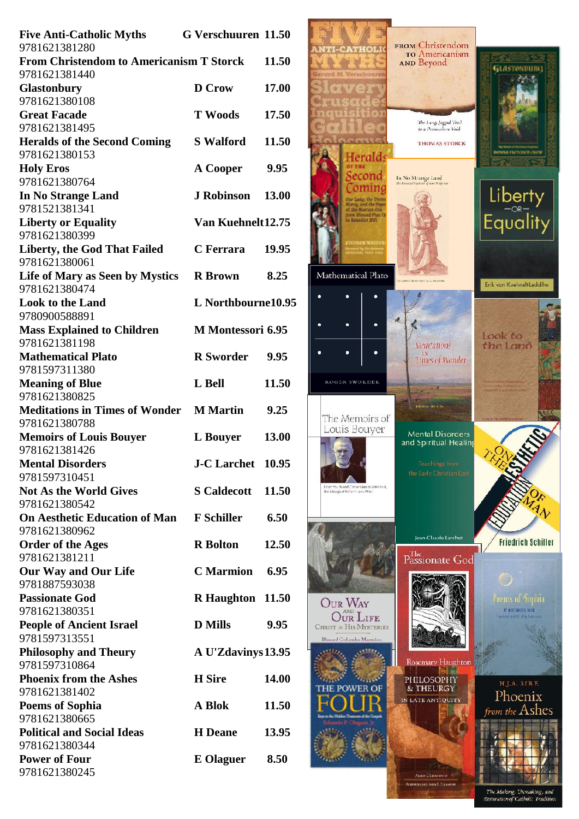| <b>Five Anti-Catholic Myths</b>                                  | <b>G Verschuuren 11.50</b> |              |                |
|------------------------------------------------------------------|----------------------------|--------------|----------------|
| 9781621381280<br><b>From Christendom to Americanism T Storck</b> |                            | 11.50        |                |
| 9781621381440                                                    |                            |              |                |
| Glastonbury                                                      | <b>D</b> Crow              | 17.00        |                |
| 9781621380108                                                    |                            |              |                |
| <b>Great Facade</b>                                              | <b>T</b> Woods             | 17.50        |                |
| 9781621381495                                                    |                            |              |                |
| <b>Heralds of the Second Coming</b><br>9781621380153             | <b>S</b> Walford           | 11.50        |                |
| <b>Holy Eros</b>                                                 | A Cooper                   | 9.95         |                |
| 9781621380764                                                    |                            |              |                |
| In No Strange Land                                               | <b>J Robinson</b>          | 13.00        |                |
| 9781521381341                                                    |                            |              |                |
| <b>Liberty or Equality</b>                                       | Van Kuehnelt12.75          |              |                |
| 9781621380399                                                    |                            |              |                |
| <b>Liberty, the God That Failed</b>                              | C Ferrara                  | 19.95        |                |
| 9781621380061                                                    |                            |              |                |
| Life of Mary as Seen by Mystics                                  | <b>R</b> Brown             | 8.25         | Mathe          |
| 9781621380474                                                    | L Northbourne10.95         |              |                |
| <b>Look to the Land</b><br>9780900588891                         |                            |              |                |
| <b>Mass Explained to Children</b>                                | <b>M</b> Montessori 6.95   |              |                |
| 9781621381198                                                    |                            |              |                |
| <b>Mathematical Plato</b>                                        | <b>R</b> Sworder           | 9.95         |                |
| 9781597311380                                                    |                            |              |                |
| <b>Meaning of Blue</b>                                           | L Bell                     | 11.50        | ROG            |
| 9781621380825                                                    |                            |              |                |
| <b>Meditations in Times of Wonder M Martin</b>                   |                            | 9.25         | The            |
| 9781621380788                                                    |                            |              | Lot            |
| <b>Memoirs of Louis Bouyer</b>                                   | <b>L</b> Bouyer            | 13.00        |                |
| 9781621381426<br><b>Mental Disorders</b>                         | J-C Larchet 10.95          |              |                |
| 9781597310451                                                    |                            |              |                |
| <b>Not As the World Gives</b>                                    | <b>S</b> Caldecott         | 11.50        | the Liturg     |
| 9781621380542                                                    |                            |              |                |
| <b>On Aesthetic Education of Man F Schiller</b>                  |                            | 6.50         |                |
| 9781621380962                                                    |                            |              |                |
| <b>Order of the Ages</b>                                         | <b>R</b> Bolton            | 12.50        |                |
| 9781621381211                                                    |                            |              |                |
| <b>Our Way and Our Life</b>                                      | <b>C</b> Marmion           | 6.95         |                |
| 9781887593038                                                    |                            |              |                |
| <b>Passionate God</b><br>9781621380351                           | <b>R</b> Haughton          | <b>11.50</b> | $\rm{O_{UI}}$  |
| <b>People of Ancient Israel</b>                                  | <b>D</b> Mills             | 9.95         | <b>CHRIST</b>  |
| 9781597313551                                                    |                            |              | <b>Blessed</b> |
| <b>Philosophy and Theury</b>                                     | A U'Zdavinys 13.95         |              |                |
| 9781597310864                                                    |                            |              |                |
| <b>Phoenix from the Ashes</b>                                    | <b>H</b> Sire              | 14.00        |                |
| 9781621381402                                                    |                            |              |                |
| <b>Poems of Sophia</b>                                           | A Blok                     | 11.50        |                |
| 9781621380665                                                    |                            |              |                |
| <b>Political and Social Ideas</b>                                | <b>H</b> Deane             | 13.95        |                |
| 9781621380344<br><b>Power of Four</b>                            | <b>E</b> Olaguer           | 8.50         |                |
| 9781621380245                                                    |                            |              |                |
|                                                                  |                            |              |                |



The Making, Unmaking, and<br>Restoration of Catholic Tradition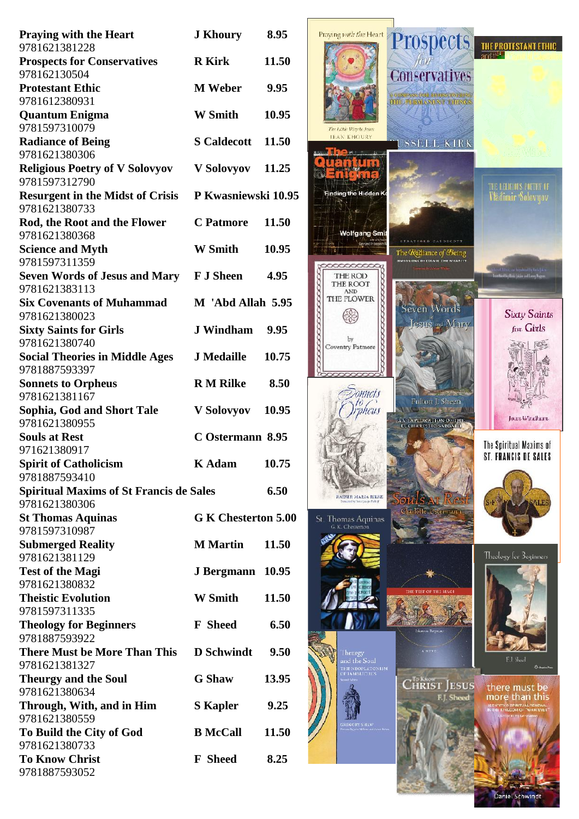| <b>Praying with the Heart</b>                                   | <b>J</b> Khoury         | 8.95         |
|-----------------------------------------------------------------|-------------------------|--------------|
| 9781621381228<br><b>Prospects for Conservatives</b>             | <b>R</b> Kirk           | 11.50        |
| 978162130504                                                    |                         |              |
| <b>Protestant Ethic</b><br>9781612380931                        | <b>M</b> Weber          | 9.95         |
| <b>Quantum Enigma</b><br>9781597310079                          | <b>W</b> Smith          | 10.95        |
| <b>Radiance of Being</b>                                        | <b>S</b> Caldecott      | <b>11.50</b> |
| 9781621380306                                                   |                         |              |
| <b>Religious Poetry of V Solovyov</b><br>9781597312790          | V Solovyov              | 11.25        |
| <b>Resurgent in the Midst of Crisis</b>                         | P Kwasniewski 10.95     |              |
| 9781621380733                                                   |                         |              |
| Rod, the Root and the Flower                                    | <b>C</b> Patmore        | 11.50        |
| 9781621380368<br><b>Science and Myth</b><br>9781597311359       | <b>W</b> Smith          | 10.95        |
| <b>Seven Words of Jesus and Mary</b>                            | <b>F J Sheen</b>        | 4.95         |
| 9781621383113<br><b>Six Covenants of Muhammad</b>               | M 'Abd Allah 5.95       |              |
| 9781621380023                                                   | <b>J</b> Windham        | 9.95         |
| <b>Sixty Saints for Girls</b><br>9781621380740                  |                         |              |
| <b>Social Theories in Middle Ages</b><br>9781887593397          | <b>J</b> Medaille       | 10.75        |
| <b>Sonnets to Orpheus</b>                                       | <b>R M Rilke</b>        | 8.50         |
| 9781621381167                                                   |                         |              |
| Sophia, God and Short Tale<br>9781621380955                     | V Solovyov 10.95        |              |
| <b>Souls at Rest</b>                                            | <b>C</b> Ostermann 8.95 |              |
| 971621380917                                                    |                         |              |
| <b>Spirit of Catholicism</b>                                    | <b>K</b> Adam           | 10.75        |
| 9781887593410                                                   |                         |              |
| <b>Spiritual Maxims of St Francis de Sales</b><br>9781621380306 |                         | 6.50         |
| <b>St Thomas Aquinas</b><br>9781597310987                       | G K Chesterton 5.00     |              |
| <b>Submerged Reality</b>                                        | <b>M</b> Martin         | 11.50        |
| 9781621381129                                                   |                         |              |
| <b>Test of the Magi</b><br>9781621380832                        | <b>J Bergmann</b>       | 10.95        |
| <b>Theistic Evolution</b>                                       | <b>W</b> Smith          | 11.50        |
| 9781597311335                                                   |                         |              |
| <b>Theology for Beginners</b><br>9781887593922                  | <b>F</b> Sheed          | 6.50         |
| <b>There Must be More Than This</b>                             | <b>D</b> Schwindt       | 9.50         |
| 9781621381327                                                   |                         |              |
| <b>Theurgy and the Soul</b>                                     | <b>G</b> Shaw           | 13.95        |
| 9781621380634                                                   |                         |              |
| Through, With, and in Him                                       | <b>S</b> Kapler         | 9.25         |
| 9781621380559                                                   |                         |              |
| To Build the City of God                                        | <b>B</b> McCall         | 11.50        |
| 9781621380733                                                   |                         |              |
| <b>To Know Christ</b><br>9781887593052                          | <b>F</b> Sheed          | 8.25         |
|                                                                 |                         |              |